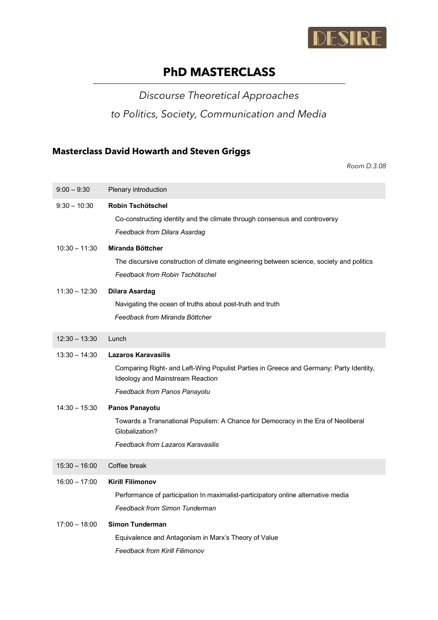

# **PhD MASTERCLASS**

*Discourse Theoretical Approaches* 

*to Politics, Society, Communication and Media*

### **Masterclass David Howarth and Steven Griggs**

| $9:00 - 9:30$   | Plenary introduction                                                                                                                                                                     |
|-----------------|------------------------------------------------------------------------------------------------------------------------------------------------------------------------------------------|
| $9:30 - 10:30$  | Robin Tschötschel<br>Co-constructing identity and the climate through consensus and controversy<br>Feedback from Dilara Asardag                                                          |
| $10:30 - 11:30$ | Miranda Böttcher<br>The discursive construction of climate engineering between science, society and politics<br>Feedback from Robin Tschötschel                                          |
| $11:30 - 12:30$ | <b>Dilara Asardag</b><br>Navigating the ocean of truths about post-truth and truth<br>Feedback from Miranda Böttcher                                                                     |
| $12:30 - 13:30$ | Lunch                                                                                                                                                                                    |
| $13:30 - 14:30$ | <b>Lazaros Karavasilis</b><br>Comparing Right- and Left-Wing Populist Parties in Greece and Germany: Party Identity,<br>Ideology and Mainstream Reaction<br>Feedback from Panos Panayotu |
| $14:30 - 15:30$ | Panos Panayotu<br>Towards a Transnational Populism: A Chance for Democracy in the Era of Neoliberal<br>Globalization?<br>Feedback from Lazaros Karavasilis                               |
| $15:30 - 16:00$ | Coffee break                                                                                                                                                                             |
| $16:00 - 17:00$ | <b>Kirill Filimonov</b><br>Performance of participation In maximalist-participatory online alternative media<br>Feedback from Simon Tunderman                                            |
| $17:00 - 18:00$ | <b>Simon Tunderman</b><br>Equivalence and Antagonism in Marx's Theory of Value<br><b>Feedback from Kirill Filimonov</b>                                                                  |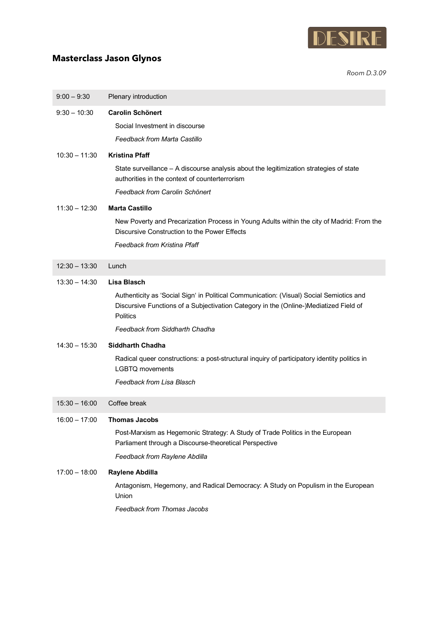

### **Masterclass Jason Glynos**

| $9:00 - 9:30$   | Plenary introduction                                                                                                                                                                                |
|-----------------|-----------------------------------------------------------------------------------------------------------------------------------------------------------------------------------------------------|
| $9:30 - 10:30$  | <b>Carolin Schönert</b>                                                                                                                                                                             |
|                 | Social Investment in discourse                                                                                                                                                                      |
|                 | Feedback from Marta Castillo                                                                                                                                                                        |
| 10:30 - 11:30   | <b>Kristina Pfaff</b>                                                                                                                                                                               |
|                 | State surveillance - A discourse analysis about the legitimization strategies of state<br>authorities in the context of counterterrorism                                                            |
|                 | Feedback from Carolin Schönert                                                                                                                                                                      |
| $11:30 - 12:30$ | <b>Marta Castillo</b>                                                                                                                                                                               |
|                 | New Poverty and Precarization Process in Young Adults within the city of Madrid: From the<br>Discursive Construction to the Power Effects                                                           |
|                 | Feedback from Kristina Pfaff                                                                                                                                                                        |
| $12:30 - 13:30$ | Lunch                                                                                                                                                                                               |
|                 |                                                                                                                                                                                                     |
| $13:30 - 14:30$ | <b>Lisa Blasch</b>                                                                                                                                                                                  |
|                 | Authenticity as 'Social Sign' in Political Communication: (Visual) Social Semiotics and<br>Discursive Functions of a Subjectivation Category in the (Online-)Mediatized Field of<br><b>Politics</b> |
|                 | Feedback from Siddharth Chadha                                                                                                                                                                      |
| $14:30 - 15:30$ | <b>Siddharth Chadha</b>                                                                                                                                                                             |
|                 | Radical queer constructions: a post-structural inquiry of participatory identity politics in<br><b>LGBTQ</b> movements                                                                              |
|                 | Feedback from Lisa Blasch                                                                                                                                                                           |
| $15:30 - 16:00$ | Coffee break                                                                                                                                                                                        |
| $16:00 - 17:00$ | <b>Thomas Jacobs</b>                                                                                                                                                                                |
|                 | Post-Marxism as Hegemonic Strategy: A Study of Trade Politics in the European<br>Parliament through a Discourse-theoretical Perspective                                                             |
|                 | Feedback from Raylene Abdilla                                                                                                                                                                       |
| $17:00 - 18:00$ | Raylene Abdilla                                                                                                                                                                                     |
|                 | Antagonism, Hegemony, and Radical Democracy: A Study on Populism in the European<br>Union                                                                                                           |
|                 | Feedback from Thomas Jacobs                                                                                                                                                                         |
|                 |                                                                                                                                                                                                     |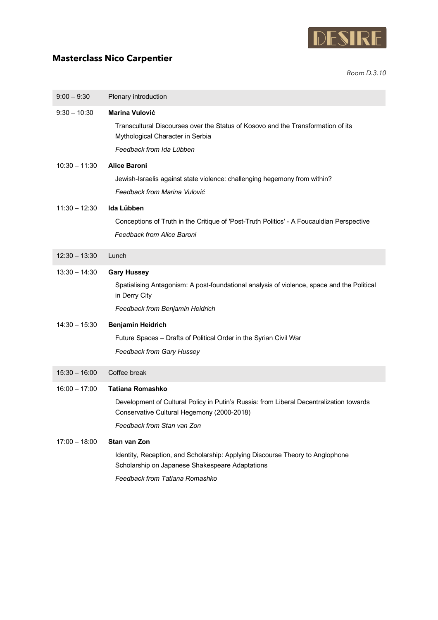

## **Masterclass Nico Carpentier**

| $9:00 - 9:30$   | Plenary introduction                                                                                                                  |
|-----------------|---------------------------------------------------------------------------------------------------------------------------------------|
| $9:30 - 10:30$  | <b>Marina Vulović</b>                                                                                                                 |
|                 | Transcultural Discourses over the Status of Kosovo and the Transformation of its<br>Mythological Character in Serbia                  |
|                 | Feedback from Ida Lübben                                                                                                              |
| $10:30 - 11:30$ | <b>Alice Baroni</b>                                                                                                                   |
|                 | Jewish-Israelis against state violence: challenging hegemony from within?                                                             |
|                 | Feedback from Marina Vulović                                                                                                          |
| $11:30 - 12:30$ | Ida Lübben                                                                                                                            |
|                 | Conceptions of Truth in the Critique of 'Post-Truth Politics' - A Foucauldian Perspective                                             |
|                 | Feedback from Alice Baroni                                                                                                            |
| $12:30 - 13:30$ | Lunch                                                                                                                                 |
| $13:30 - 14:30$ | <b>Gary Hussey</b>                                                                                                                    |
|                 | Spatialising Antagonism: A post-foundational analysis of violence, space and the Political<br>in Derry City                           |
|                 | Feedback from Benjamin Heidrich                                                                                                       |
| $14:30 - 15:30$ | <b>Benjamin Heidrich</b>                                                                                                              |
|                 | Future Spaces - Drafts of Political Order in the Syrian Civil War                                                                     |
|                 | Feedback from Gary Hussey                                                                                                             |
| $15:30 - 16:00$ | Coffee break                                                                                                                          |
| $16:00 - 17:00$ | <b>Tatiana Romashko</b>                                                                                                               |
|                 | Development of Cultural Policy in Putin's Russia: from Liberal Decentralization towards<br>Conservative Cultural Hegemony (2000-2018) |
|                 | Feedback from Stan van Zon                                                                                                            |
| $17:00 - 18:00$ | Stan van Zon                                                                                                                          |
|                 | Identity, Reception, and Scholarship: Applying Discourse Theory to Anglophone<br>Scholarship on Japanese Shakespeare Adaptations      |
|                 | Feedback from Tatiana Romashko                                                                                                        |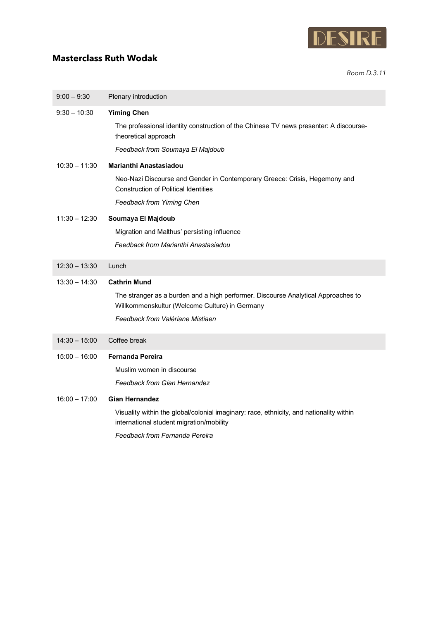

### **Masterclass Ruth Wodak**

| $9:00 - 9:30$   | Plenary introduction                                                                                                                |
|-----------------|-------------------------------------------------------------------------------------------------------------------------------------|
| $9:30 - 10:30$  | <b>Yiming Chen</b>                                                                                                                  |
|                 | The professional identity construction of the Chinese TV news presenter: A discourse-<br>theoretical approach                       |
|                 | Feedback from Soumaya El Majdoub                                                                                                    |
| $10:30 - 11:30$ | <b>Marianthi Anastasiadou</b>                                                                                                       |
|                 | Neo-Nazi Discourse and Gender in Contemporary Greece: Crisis, Hegemony and<br><b>Construction of Political Identities</b>           |
|                 | Feedback from Yiming Chen                                                                                                           |
| $11:30 - 12:30$ | Soumaya El Majdoub                                                                                                                  |
|                 | Migration and Malthus' persisting influence                                                                                         |
|                 | Feedback from Marianthi Anastasiadou                                                                                                |
| $12:30 - 13:30$ | Lunch                                                                                                                               |
| $13:30 - 14:30$ | <b>Cathrin Mund</b>                                                                                                                 |
|                 | The stranger as a burden and a high performer. Discourse Analytical Approaches to<br>Willkommenskultur (Welcome Culture) in Germany |
|                 | Feedback from Valériane Mistiaen                                                                                                    |
| $14:30 - 15:00$ | Coffee break                                                                                                                        |
| $15:00 - 16:00$ | <b>Fernanda Pereira</b>                                                                                                             |
|                 | Muslim women in discourse                                                                                                           |
|                 | Feedback from Gian Hernandez                                                                                                        |
| $16:00 - 17:00$ | <b>Gian Hernandez</b>                                                                                                               |
|                 | Visuality within the global/colonial imaginary: race, ethnicity, and nationality within<br>international student migration/mobility |
|                 | Feedback from Fernanda Pereira                                                                                                      |
|                 |                                                                                                                                     |